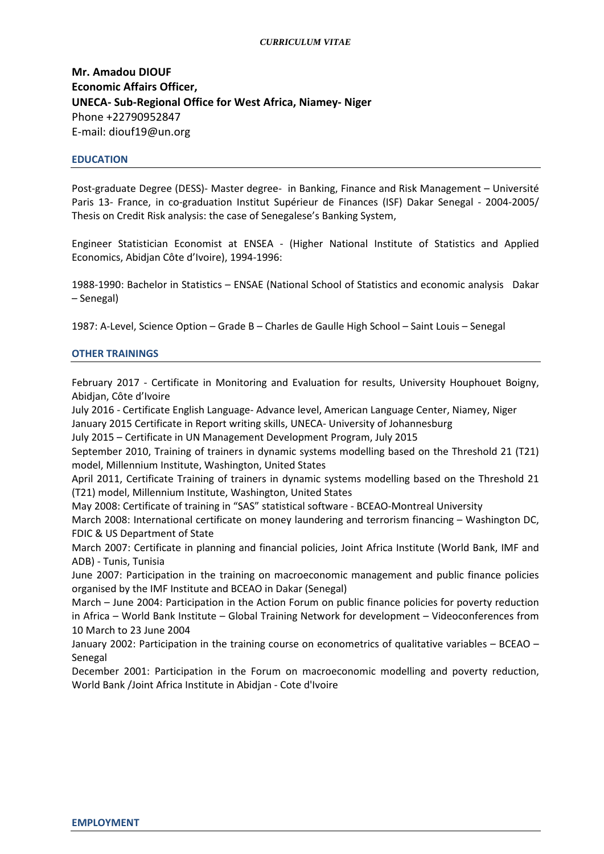#### *CURRICULUM VITAE*

**Mr. Amadou DIOUF Economic Affairs Officer, UNECA- Sub-Regional Office for West Africa, Niamey- Niger** Phone +22790952847 E-mail: diouf19@un.org

#### **EDUCATION**

Post-graduate Degree (DESS)- Master degree- in Banking, Finance and Risk Management – Université Paris 13- France, in co-graduation Institut Supérieur de Finances (ISF) Dakar Senegal - 2004-2005/ Thesis on Credit Risk analysis: the case of Senegalese's Banking System,

Engineer Statistician Economist at ENSEA - (Higher National Institute of Statistics and Applied Economics, Abidjan Côte d'Ivoire), 1994-1996:

1988-1990: Bachelor in Statistics – ENSAE (National School of Statistics and economic analysis Dakar – Senegal)

1987: A-Level, Science Option – Grade B – Charles de Gaulle High School – Saint Louis – Senegal

#### **OTHER TRAININGS**

February 2017 - Certificate in Monitoring and Evaluation for results, University Houphouet Boigny, Abidjan, Côte d'Ivoire

July 2016 - Certificate English Language- Advance level, American Language Center, Niamey, Niger January 2015 Certificate in Report writing skills, UNECA- University of Johannesburg

July 2015 – Certificate in UN Management Development Program, July 2015

September 2010, Training of trainers in dynamic systems modelling based on the Threshold 21 (T21) model, Millennium Institute, Washington, United States

April 2011, Certificate Training of trainers in dynamic systems modelling based on the Threshold 21 (T21) model, Millennium Institute, Washington, United States

May 2008: Certificate of training in "SAS" statistical software - BCEAO-Montreal University

March 2008: International certificate on money laundering and terrorism financing – Washington DC, FDIC & US Department of State

March 2007: Certificate in planning and financial policies, Joint Africa Institute (World Bank, IMF and ADB) - Tunis, Tunisia

June 2007: Participation in the training on macroeconomic management and public finance policies organised by the IMF Institute and BCEAO in Dakar (Senegal)

March – June 2004: Participation in the Action Forum on public finance policies for poverty reduction in Africa – World Bank Institute – Global Training Network for development – Videoconferences from 10 March to 23 June 2004

January 2002: Participation in the training course on econometrics of qualitative variables – BCEAO – Senegal

December 2001: Participation in the Forum on macroeconomic modelling and poverty reduction, World Bank /Joint Africa Institute in Abidjan - Cote d'Ivoire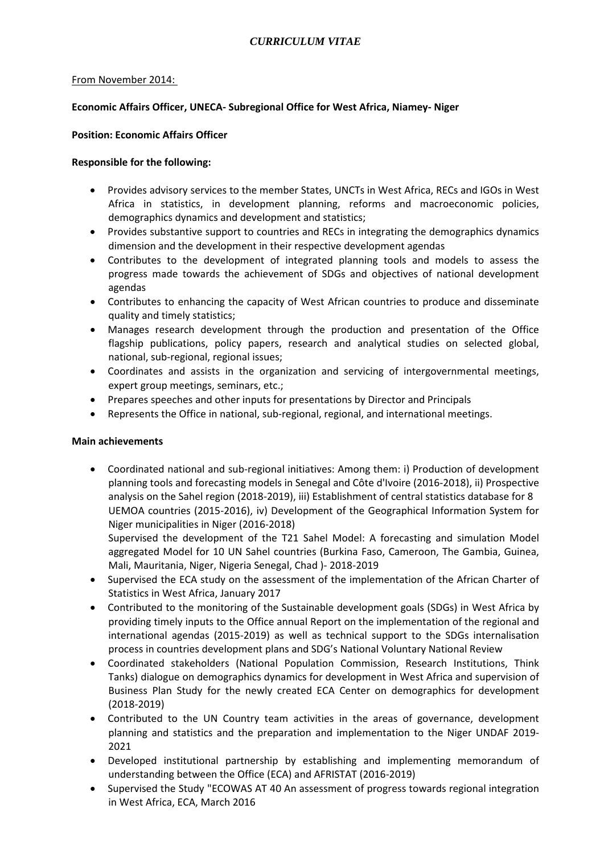### From November 2014:

## **Economic Affairs Officer, UNECA- Subregional Office for West Africa, Niamey- Niger**

### **Position: Economic Affairs Officer**

### **Responsible for the following:**

- Provides advisory services to the member States, UNCTs in West Africa, RECs and IGOs in West Africa in statistics, in development planning, reforms and macroeconomic policies, demographics dynamics and development and statistics;
- Provides substantive support to countries and RECs in integrating the demographics dynamics dimension and the development in their respective development agendas
- Contributes to the development of integrated planning tools and models to assess the progress made towards the achievement of SDGs and objectives of national development agendas
- Contributes to enhancing the capacity of West African countries to produce and disseminate quality and timely statistics;
- Manages research development through the production and presentation of the Office flagship publications, policy papers, research and analytical studies on selected global, national, sub-regional, regional issues;
- Coordinates and assists in the organization and servicing of intergovernmental meetings, expert group meetings, seminars, etc.;
- Prepares speeches and other inputs for presentations by Director and Principals
- Represents the Office in national, sub-regional, regional, and international meetings.

### **Main achievements**

• Coordinated national and sub-regional initiatives: Among them: i) Production of development planning tools and forecasting models in Senegal and Côte d'Ivoire (2016-2018), ii) Prospective analysis on the Sahel region (2018-2019), iii) Establishment of central statistics database for 8 UEMOA countries (2015-2016), iv) Development of the Geographical Information System for Niger municipalities in Niger (2016-2018)

Supervised the development of the T21 Sahel Model: A forecasting and simulation Model aggregated Model for 10 UN Sahel countries (Burkina Faso, Cameroon, The Gambia, Guinea, Mali, Mauritania, Niger, Nigeria Senegal, Chad )- 2018-2019

- Supervised the ECA study on the assessment of the implementation of the African Charter of Statistics in West Africa, January 2017
- Contributed to the monitoring of the Sustainable development goals (SDGs) in West Africa by providing timely inputs to the Office annual Report on the implementation of the regional and international agendas (2015-2019) as well as technical support to the SDGs internalisation process in countries development plans and SDG's National Voluntary National Review
- Coordinated stakeholders (National Population Commission, Research Institutions, Think Tanks) dialogue on demographics dynamics for development in West Africa and supervision of Business Plan Study for the newly created ECA Center on demographics for development (2018-2019)
- Contributed to the UN Country team activities in the areas of governance, development planning and statistics and the preparation and implementation to the Niger UNDAF 2019- 2021
- Developed institutional partnership by establishing and implementing memorandum of understanding between the Office (ECA) and AFRISTAT (2016-2019)
- Supervised the Study "ECOWAS AT 40 An assessment of progress towards regional integration in West Africa, ECA, March 2016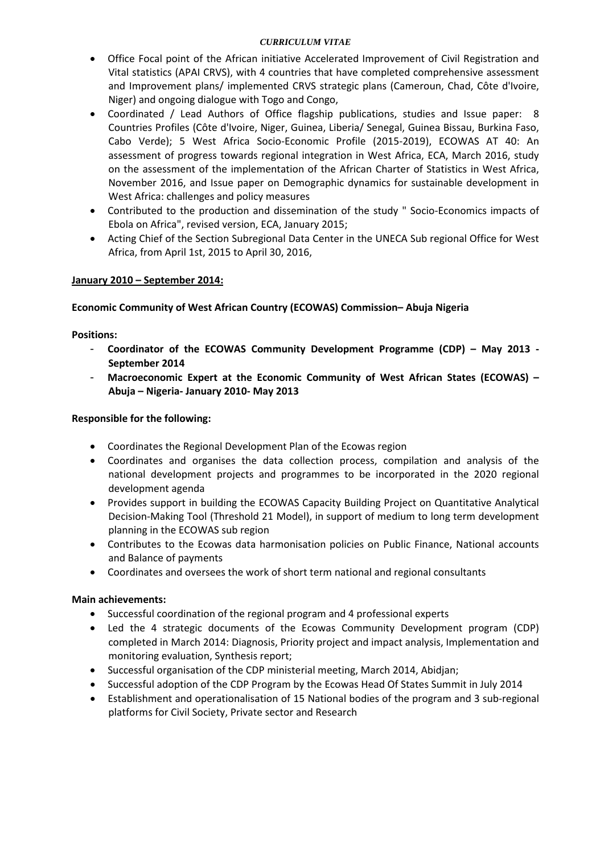## *CURRICULUM VITAE*

- Office Focal point of the African initiative Accelerated Improvement of Civil Registration and Vital statistics (APAI CRVS), with 4 countries that have completed comprehensive assessment and Improvement plans/ implemented CRVS strategic plans (Cameroun, Chad, Côte d'Ivoire, Niger) and ongoing dialogue with Togo and Congo,
- Coordinated / Lead Authors of Office flagship publications, studies and Issue paper: 8 Countries Profiles (Côte d'Ivoire, Niger, Guinea, Liberia/ Senegal, Guinea Bissau, Burkina Faso, Cabo Verde); 5 West Africa Socio-Economic Profile (2015-2019), ECOWAS AT 40: An assessment of progress towards regional integration in West Africa, ECA, March 2016, study on the assessment of the implementation of the African Charter of Statistics in West Africa, November 2016, and Issue paper on Demographic dynamics for sustainable development in West Africa: challenges and policy measures
- Contributed to the production and dissemination of the study " Socio-Economics impacts of Ebola on Africa", revised version, ECA, January 2015;
- Acting Chief of the Section Subregional Data Center in the UNECA Sub regional Office for West Africa, from April 1st, 2015 to April 30, 2016,

# **January 2010 – September 2014:**

## **Economic Community of West African Country (ECOWAS) Commission– Abuja Nigeria**

**Positions:**

- **Coordinator of the ECOWAS Community Development Programme (CDP) – May 2013 September 2014**
- **Macroeconomic Expert at the Economic Community of West African States (ECOWAS) – Abuja – Nigeria- January 2010- May 2013**

## **Responsible for the following:**

- Coordinates the Regional Development Plan of the Ecowas region
- Coordinates and organises the data collection process, compilation and analysis of the national development projects and programmes to be incorporated in the 2020 regional development agenda
- Provides support in building the ECOWAS Capacity Building Project on Quantitative Analytical Decision-Making Tool (Threshold 21 Model), in support of medium to long term development planning in the ECOWAS sub region
- Contributes to the Ecowas data harmonisation policies on Public Finance, National accounts and Balance of payments
- Coordinates and oversees the work of short term national and regional consultants

### **Main achievements:**

- Successful coordination of the regional program and 4 professional experts
- Led the 4 strategic documents of the Ecowas Community Development program (CDP) completed in March 2014: Diagnosis, Priority project and impact analysis, Implementation and monitoring evaluation, Synthesis report;
- Successful organisation of the CDP ministerial meeting, March 2014, Abidjan;
- Successful adoption of the CDP Program by the Ecowas Head Of States Summit in July 2014
- Establishment and operationalisation of 15 National bodies of the program and 3 sub-regional platforms for Civil Society, Private sector and Research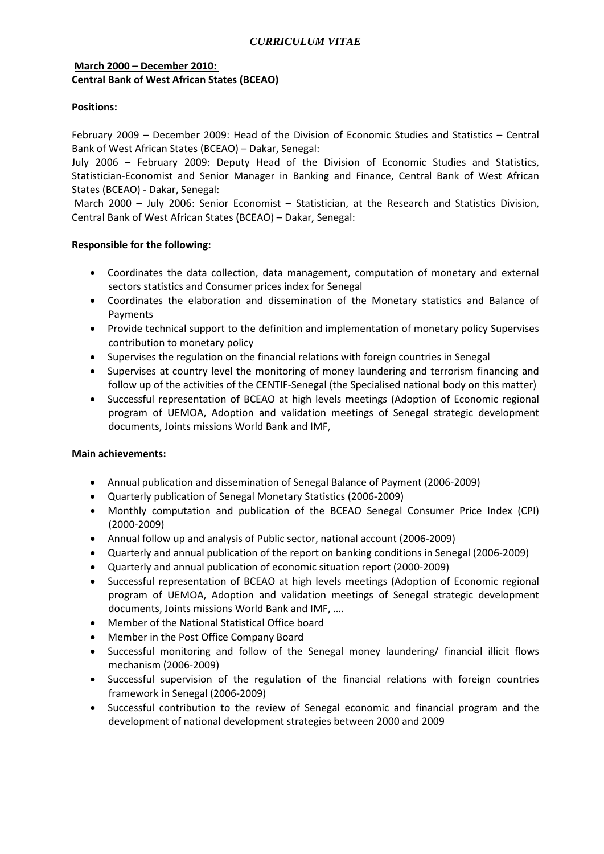# **March 2000 – December 2010: Central Bank of West African States (BCEAO)**

# **Positions:**

February 2009 – December 2009: Head of the Division of Economic Studies and Statistics – Central Bank of West African States (BCEAO) – Dakar, Senegal:

July 2006 – February 2009: Deputy Head of the Division of Economic Studies and Statistics, Statistician-Economist and Senior Manager in Banking and Finance, Central Bank of West African States (BCEAO) - Dakar, Senegal:

March 2000 – July 2006: Senior Economist – Statistician, at the Research and Statistics Division, Central Bank of West African States (BCEAO) – Dakar, Senegal:

## **Responsible for the following:**

- Coordinates the data collection, data management, computation of monetary and external sectors statistics and Consumer prices index for Senegal
- Coordinates the elaboration and dissemination of the Monetary statistics and Balance of Payments
- Provide technical support to the definition and implementation of monetary policy Supervises contribution to monetary policy
- Supervises the regulation on the financial relations with foreign countries in Senegal
- Supervises at country level the monitoring of money laundering and terrorism financing and follow up of the activities of the CENTIF-Senegal (the Specialised national body on this matter)
- Successful representation of BCEAO at high levels meetings (Adoption of Economic regional program of UEMOA, Adoption and validation meetings of Senegal strategic development documents, Joints missions World Bank and IMF,

### **Main achievements:**

- Annual publication and dissemination of Senegal Balance of Payment (2006-2009)
- Quarterly publication of Senegal Monetary Statistics (2006-2009)
- Monthly computation and publication of the BCEAO Senegal Consumer Price Index (CPI) (2000-2009)
- Annual follow up and analysis of Public sector, national account (2006-2009)
- Quarterly and annual publication of the report on banking conditions in Senegal (2006-2009)
- Quarterly and annual publication of economic situation report (2000-2009)
- Successful representation of BCEAO at high levels meetings (Adoption of Economic regional program of UEMOA, Adoption and validation meetings of Senegal strategic development documents, Joints missions World Bank and IMF, ….
- Member of the National Statistical Office board
- Member in the Post Office Company Board
- Successful monitoring and follow of the Senegal money laundering/ financial illicit flows mechanism (2006-2009)
- Successful supervision of the regulation of the financial relations with foreign countries framework in Senegal (2006-2009)
- Successful contribution to the review of Senegal economic and financial program and the development of national development strategies between 2000 and 2009